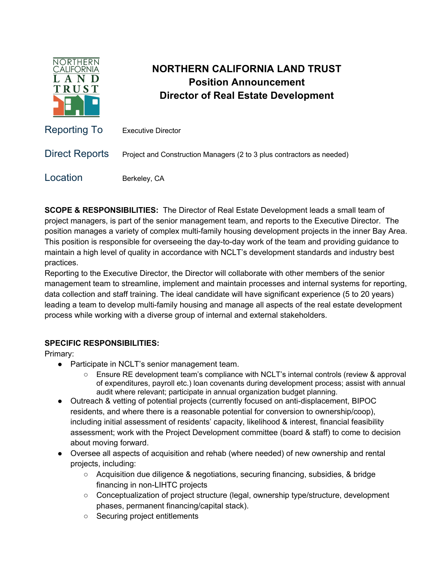

## **NORTHERN CALIFORNIA LAND TRUST Position Announcement Director of Real Estate Development**

| Reporting To          | <b>Executive Director</b>                                             |
|-----------------------|-----------------------------------------------------------------------|
| <b>Direct Reports</b> | Project and Construction Managers (2 to 3 plus contractors as needed) |
| Location              | Berkeley, CA                                                          |

**SCOPE & RESPONSIBILITIES:** The Director of Real Estate Development leads a small team of project managers, is part of the senior management team, and reports to the Executive Director. The position manages a variety of complex multi-family housing development projects in the inner Bay Area. This position is responsible for overseeing the day-to-day work of the team and providing guidance to maintain a high level of quality in accordance with NCLT's development standards and industry best practices.

Reporting to the Executive Director, the Director will collaborate with other members of the senior management team to streamline, implement and maintain processes and internal systems for reporting, data collection and staff training. The ideal candidate will have significant experience (5 to 20 years) leading a team to develop multi-family housing and manage all aspects of the real estate development process while working with a diverse group of internal and external stakeholders.

## **SPECIFIC RESPONSIBILITIES:**

Primary:

- Participate in NCLT's senior management team.
	- Ensure RE development team's compliance with NCLT's internal controls (review & approval of expenditures, payroll etc.) loan covenants during development process; assist with annual audit where relevant; participate in annual organization budget planning.
- Outreach & vetting of potential projects (currently focused on anti-displacement, BIPOC residents, and where there is a reasonable potential for conversion to ownership/coop), including initial assessment of residents' capacity, likelihood & interest, financial feasibility assessment; work with the Project Development committee (board & staff) to come to decision about moving forward.
- Oversee all aspects of acquisition and rehab (where needed) of new ownership and rental projects, including:
	- Acquisition due diligence & negotiations, securing financing, subsidies, & bridge financing in non-LIHTC projects
	- Conceptualization of project structure (legal, ownership type/structure, development phases, permanent financing/capital stack).
	- Securing project entitlements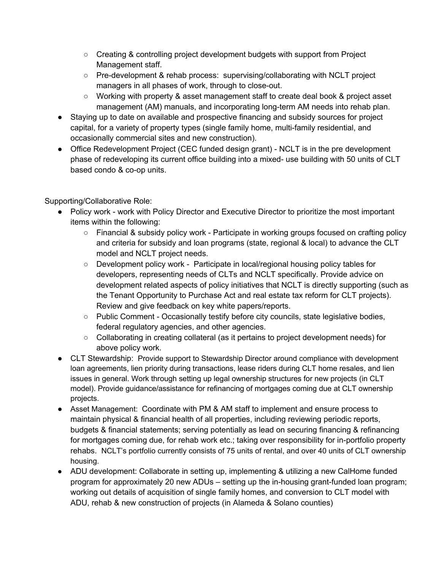- Creating & controlling project development budgets with support from Project Management staff.
- Pre-development & rehab process: supervising/collaborating with NCLT project managers in all phases of work, through to close-out.
- Working with property & asset management staff to create deal book & project asset management (AM) manuals, and incorporating long-term AM needs into rehab plan.
- Staying up to date on available and prospective financing and subsidy sources for project capital, for a variety of property types (single family home, multi-family residential, and occasionally commercial sites and new construction).
- Office Redevelopment Project (CEC funded design grant) NCLT is in the pre development phase of redeveloping its current office building into a mixed- use building with 50 units of CLT based condo & co-op units.

Supporting/Collaborative Role:

- Policy work work with Policy Director and Executive Director to prioritize the most important items within the following:
	- Financial & subsidy policy work Participate in working groups focused on crafting policy and criteria for subsidy and loan programs (state, regional & local) to advance the CLT model and NCLT project needs.
	- Development policy work Participate in local/regional housing policy tables for developers, representing needs of CLTs and NCLT specifically. Provide advice on development related aspects of policy initiatives that NCLT is directly supporting (such as the Tenant Opportunity to Purchase Act and real estate tax reform for CLT projects). Review and give feedback on key white papers/reports.
	- Public Comment Occasionally testify before city councils, state legislative bodies, federal regulatory agencies, and other agencies.
	- Collaborating in creating collateral (as it pertains to project development needs) for above policy work.
- CLT Stewardship: Provide support to Stewardship Director around compliance with development loan agreements, lien priority during transactions, lease riders during CLT home resales, and lien issues in general. Work through setting up legal ownership structures for new projects (in CLT model). Provide guidance/assistance for refinancing of mortgages coming due at CLT ownership projects.
- Asset Management: Coordinate with PM & AM staff to implement and ensure process to maintain physical & financial health of all properties, including reviewing periodic reports, budgets & financial statements; serving potentially as lead on securing financing & refinancing for mortgages coming due, for rehab work etc.; taking over responsibility for in-portfolio property rehabs. NCLT's portfolio currently consists of 75 units of rental, and over 40 units of CLT ownership housing.
- ADU development: Collaborate in setting up, implementing & utilizing a new CalHome funded program for approximately 20 new ADUs – setting up the in-housing grant-funded loan program; working out details of acquisition of single family homes, and conversion to CLT model with ADU, rehab & new construction of projects (in Alameda & Solano counties)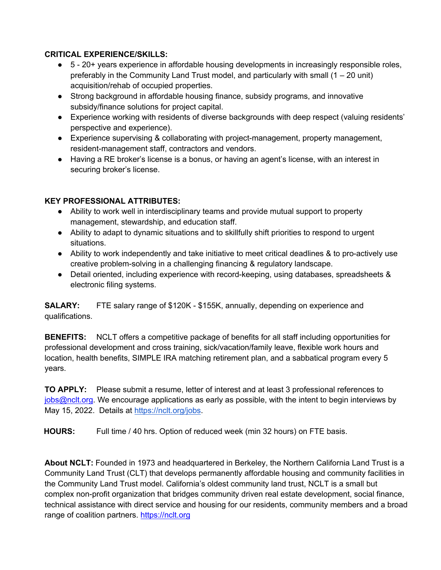## **CRITICAL EXPERIENCE/SKILLS:**

- 5 20+ years experience in affordable housing developments in increasingly responsible roles, preferably in the Community Land Trust model, and particularly with small  $(1 – 20 \text{ unit})$ acquisition/rehab of occupied properties.
- Strong background in affordable housing finance, subsidy programs, and innovative subsidy/finance solutions for project capital.
- Experience working with residents of diverse backgrounds with deep respect (valuing residents' perspective and experience).
- Experience supervising & collaborating with project-management, property management, resident-management staff, contractors and vendors.
- Having a RE broker's license is a bonus, or having an agent's license, with an interest in securing broker's license.

## **KEY PROFESSIONAL ATTRIBUTES:**

- Ability to work well in interdisciplinary teams and provide mutual support to property management, stewardship, and education staff.
- Ability to adapt to dynamic situations and to skillfully shift priorities to respond to urgent situations.
- Ability to work independently and take initiative to meet critical deadlines & to pro-actively use creative problem-solving in a challenging financing & regulatory landscape.
- Detail oriented, including experience with record-keeping, using databases, spreadsheets & electronic filing systems.

**SALARY:** FTE salary range of \$120K - \$155K, annually, depending on experience and qualifications.

**BENEFITS:** NCLT offers a competitive package of benefits for all staff including opportunities for professional development and cross training, sick/vacation/family leave, flexible work hours and location, health benefits, SIMPLE IRA matching retirement plan, and a sabbatical program every 5 years.

**TO APPLY:** Please submit a resume, letter of interest and at least 3 professional references to jobs@nclt.org. We encourage applications as early as possible, with the intent to begin interviews by May 15, 2022. Details at https://nclt.org/jobs.

**HOURS:** Full time / 40 hrs. Option of reduced week (min 32 hours) on FTE basis.

**About NCLT:** Founded in 1973 and headquartered in Berkeley, the Northern California Land Trust is a Community Land Trust (CLT) that develops permanently affordable housing and community facilities in the Community Land Trust model. California's oldest community land trust, NCLT is a small but complex non-profit organization that bridges community driven real estate development, social finance, technical assistance with direct service and housing for our residents, community members and a broad range of coalition partners. https://nclt.org